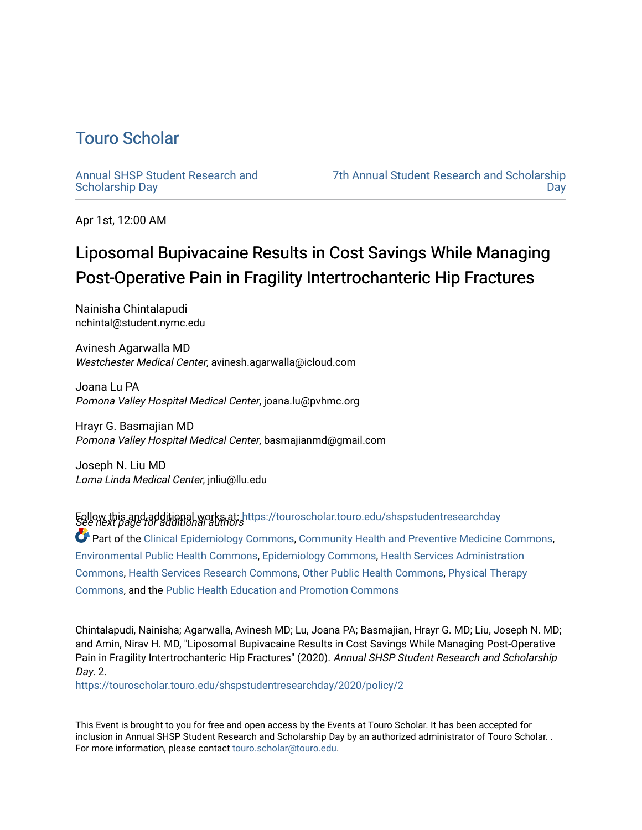## [Touro Scholar](https://touroscholar.touro.edu/)

[Annual SHSP Student Research and](https://touroscholar.touro.edu/shspstudentresearchday) [Scholarship Day](https://touroscholar.touro.edu/shspstudentresearchday) 

[7th Annual Student Research and Scholarship](https://touroscholar.touro.edu/shspstudentresearchday/2020)  [Day](https://touroscholar.touro.edu/shspstudentresearchday/2020) 

Apr 1st, 12:00 AM

## Liposomal Bupivacaine Results in Cost Savings While Managing Post-Operative Pain in Fragility Intertrochanteric Hip Fractures

Nainisha Chintalapudi nchintal@student.nymc.edu

Avinesh Agarwalla MD Westchester Medical Center, avinesh.agarwalla@icloud.com

Joana Lu PA Pomona Valley Hospital Medical Center, joana.lu@pvhmc.org

Hrayr G. Basmajian MD Pomona Valley Hospital Medical Center, basmajianmd@gmail.com

Joseph N. Liu MD Loma Linda Medical Center, jnliu@llu.edu

Follow this and additional works at: [https://touroscholar.touro.edu/shspstudentresearchday](https://touroscholar.touro.edu/shspstudentresearchday?utm_source=touroscholar.touro.edu%2Fshspstudentresearchday%2F2020%2Fpolicy%2F2&utm_medium=PDF&utm_campaign=PDFCoverPages)<br>See next page for additional authors

Part of the [Clinical Epidemiology Commons,](http://network.bepress.com/hgg/discipline/815?utm_source=touroscholar.touro.edu%2Fshspstudentresearchday%2F2020%2Fpolicy%2F2&utm_medium=PDF&utm_campaign=PDFCoverPages) [Community Health and Preventive Medicine Commons](http://network.bepress.com/hgg/discipline/744?utm_source=touroscholar.touro.edu%2Fshspstudentresearchday%2F2020%2Fpolicy%2F2&utm_medium=PDF&utm_campaign=PDFCoverPages), [Environmental Public Health Commons,](http://network.bepress.com/hgg/discipline/739?utm_source=touroscholar.touro.edu%2Fshspstudentresearchday%2F2020%2Fpolicy%2F2&utm_medium=PDF&utm_campaign=PDFCoverPages) [Epidemiology Commons,](http://network.bepress.com/hgg/discipline/740?utm_source=touroscholar.touro.edu%2Fshspstudentresearchday%2F2020%2Fpolicy%2F2&utm_medium=PDF&utm_campaign=PDFCoverPages) [Health Services Administration](http://network.bepress.com/hgg/discipline/747?utm_source=touroscholar.touro.edu%2Fshspstudentresearchday%2F2020%2Fpolicy%2F2&utm_medium=PDF&utm_campaign=PDFCoverPages) [Commons](http://network.bepress.com/hgg/discipline/747?utm_source=touroscholar.touro.edu%2Fshspstudentresearchday%2F2020%2Fpolicy%2F2&utm_medium=PDF&utm_campaign=PDFCoverPages), [Health Services Research Commons](http://network.bepress.com/hgg/discipline/816?utm_source=touroscholar.touro.edu%2Fshspstudentresearchday%2F2020%2Fpolicy%2F2&utm_medium=PDF&utm_campaign=PDFCoverPages), [Other Public Health Commons](http://network.bepress.com/hgg/discipline/748?utm_source=touroscholar.touro.edu%2Fshspstudentresearchday%2F2020%2Fpolicy%2F2&utm_medium=PDF&utm_campaign=PDFCoverPages), [Physical Therapy](http://network.bepress.com/hgg/discipline/754?utm_source=touroscholar.touro.edu%2Fshspstudentresearchday%2F2020%2Fpolicy%2F2&utm_medium=PDF&utm_campaign=PDFCoverPages)  [Commons](http://network.bepress.com/hgg/discipline/754?utm_source=touroscholar.touro.edu%2Fshspstudentresearchday%2F2020%2Fpolicy%2F2&utm_medium=PDF&utm_campaign=PDFCoverPages), and the [Public Health Education and Promotion Commons](http://network.bepress.com/hgg/discipline/743?utm_source=touroscholar.touro.edu%2Fshspstudentresearchday%2F2020%2Fpolicy%2F2&utm_medium=PDF&utm_campaign=PDFCoverPages) 

Chintalapudi, Nainisha; Agarwalla, Avinesh MD; Lu, Joana PA; Basmajian, Hrayr G. MD; Liu, Joseph N. MD; and Amin, Nirav H. MD, "Liposomal Bupivacaine Results in Cost Savings While Managing Post-Operative Pain in Fragility Intertrochanteric Hip Fractures" (2020). Annual SHSP Student Research and Scholarship Day. 2.

[https://touroscholar.touro.edu/shspstudentresearchday/2020/policy/2](https://touroscholar.touro.edu/shspstudentresearchday/2020/policy/2?utm_source=touroscholar.touro.edu%2Fshspstudentresearchday%2F2020%2Fpolicy%2F2&utm_medium=PDF&utm_campaign=PDFCoverPages)

This Event is brought to you for free and open access by the Events at Touro Scholar. It has been accepted for inclusion in Annual SHSP Student Research and Scholarship Day by an authorized administrator of Touro Scholar. . For more information, please contact [touro.scholar@touro.edu](mailto:touro.scholar@touro.edu).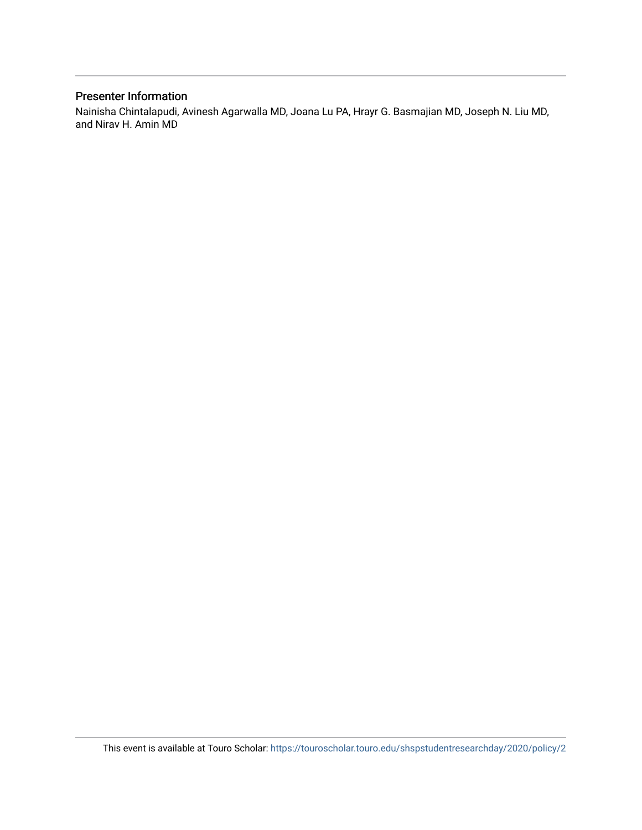## Presenter Information

Nainisha Chintalapudi, Avinesh Agarwalla MD, Joana Lu PA, Hrayr G. Basmajian MD, Joseph N. Liu MD, and Nirav H. Amin MD